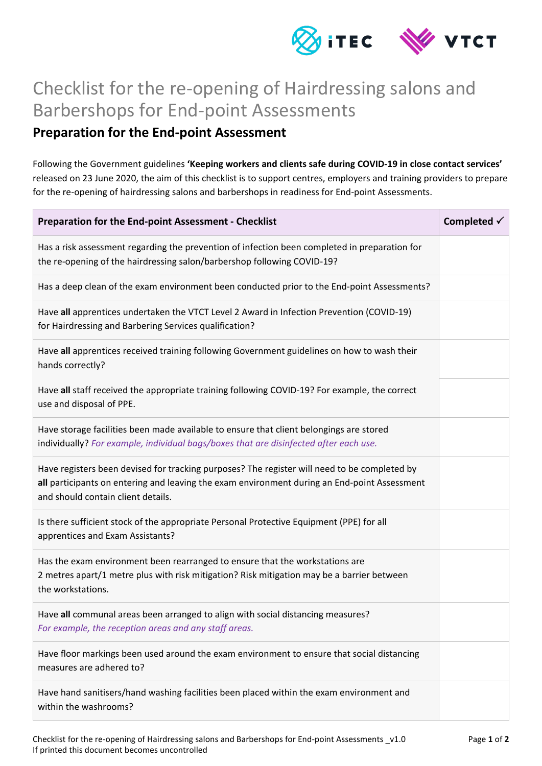

## Checklist for the re-opening of Hairdressing salons and Barbershops for End-point Assessments

## **Preparation for the End-point Assessment**

Following the Government guidelines **'Keeping workers and clients safe during COVID-19 in close contact services'** released on 23 June 2020, the aim of this checklist is to support centres, employers and training providers to prepare for the re-opening of hairdressing salons and barbershops in readiness for End-point Assessments.

| Preparation for the End-point Assessment - Checklist                                                                                                                                                                               | Completed $\checkmark$ |
|------------------------------------------------------------------------------------------------------------------------------------------------------------------------------------------------------------------------------------|------------------------|
| Has a risk assessment regarding the prevention of infection been completed in preparation for<br>the re-opening of the hairdressing salon/barbershop following COVID-19?                                                           |                        |
| Has a deep clean of the exam environment been conducted prior to the End-point Assessments?                                                                                                                                        |                        |
| Have all apprentices undertaken the VTCT Level 2 Award in Infection Prevention (COVID-19)<br>for Hairdressing and Barbering Services qualification?                                                                                |                        |
| Have all apprentices received training following Government guidelines on how to wash their<br>hands correctly?                                                                                                                    |                        |
| Have all staff received the appropriate training following COVID-19? For example, the correct<br>use and disposal of PPE.                                                                                                          |                        |
| Have storage facilities been made available to ensure that client belongings are stored<br>individually? For example, individual bags/boxes that are disinfected after each use.                                                   |                        |
| Have registers been devised for tracking purposes? The register will need to be completed by<br>all participants on entering and leaving the exam environment during an End-point Assessment<br>and should contain client details. |                        |
| Is there sufficient stock of the appropriate Personal Protective Equipment (PPE) for all<br>apprentices and Exam Assistants?                                                                                                       |                        |
| Has the exam environment been rearranged to ensure that the workstations are<br>2 metres apart/1 metre plus with risk mitigation? Risk mitigation may be a barrier between<br>the workstations.                                    |                        |
| Have all communal areas been arranged to align with social distancing measures?<br>For example, the reception areas and any staff areas.                                                                                           |                        |
| Have floor markings been used around the exam environment to ensure that social distancing<br>measures are adhered to?                                                                                                             |                        |
| Have hand sanitisers/hand washing facilities been placed within the exam environment and<br>within the washrooms?                                                                                                                  |                        |